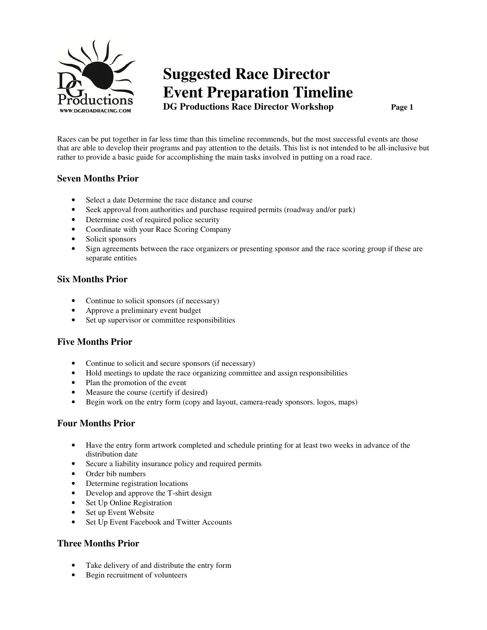

# **Suggested Race Director Event Preparation Timeline DG Productions Race Director Workshop Page 1**

Races can be put together in far less time than this timeline recommends, but the most successful events are those that are able to develop their programs and pay attention to the details. This list is not intended to be all-inclusive but rather to provide a basic guide for accomplishing the main tasks involved in putting on a road race.

# **Seven Months Prior**

- Select a date Determine the race distance and course
- Seek approval from authorities and purchase required permits (roadway and/or park)
- Determine cost of required police security
- Coordinate with your Race Scoring Company
- Solicit sponsors
- Sign agreements between the race organizers or presenting sponsor and the race scoring group if these are separate entities

## **Six Months Prior**

- Continue to solicit sponsors (if necessary)
- Approve a preliminary event budget
- Set up supervisor or committee responsibilities

### **Five Months Prior**

- Continue to solicit and secure sponsors (if necessary)
- Hold meetings to update the race organizing committee and assign responsibilities
- Plan the promotion of the event
- Measure the course (certify if desired)
- Begin work on the entry form (copy and layout, camera-ready sponsors. logos, maps)

### **Four Months Prior**

- Have the entry form artwork completed and schedule printing for at least two weeks in advance of the distribution date
- Secure a liability insurance policy and required permits
- Order bib numbers
- Determine registration locations
- Develop and approve the T-shirt design
- Set Up Online Registration
- Set up Event Website
- Set Up Event Facebook and Twitter Accounts

# **Three Months Prior**

- Take delivery of and distribute the entry form
- Begin recruitment of volunteers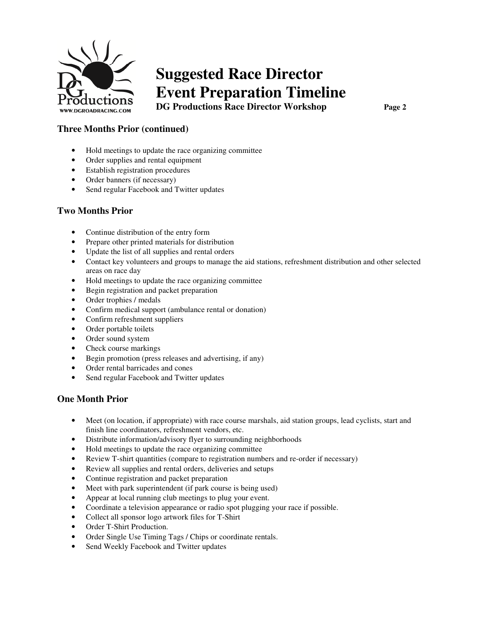

# **Suggested Race Director Event Preparation Timeline DG Productions Race Director Workshop Page 2**

# **Three Months Prior (continued)**

- Hold meetings to update the race organizing committee
- Order supplies and rental equipment
- Establish registration procedures
- Order banners (if necessary)
- Send regular Facebook and Twitter updates

## **Two Months Prior**

- Continue distribution of the entry form
- Prepare other printed materials for distribution
- Update the list of all supplies and rental orders
- Contact key volunteers and groups to manage the aid stations, refreshment distribution and other selected areas on race day
- Hold meetings to update the race organizing committee
- Begin registration and packet preparation
- Order trophies / medals
- Confirm medical support (ambulance rental or donation)
- Confirm refreshment suppliers
- Order portable toilets
- Order sound system
- Check course markings
- Begin promotion (press releases and advertising, if any)
- Order rental barricades and cones
- Send regular Facebook and Twitter updates

### **One Month Prior**

- Meet (on location, if appropriate) with race course marshals, aid station groups, lead cyclists, start and finish line coordinators, refreshment vendors, etc.
- Distribute information/advisory flyer to surrounding neighborhoods
- Hold meetings to update the race organizing committee
- Review T-shirt quantities (compare to registration numbers and re-order if necessary)
- Review all supplies and rental orders, deliveries and setups
- Continue registration and packet preparation
- Meet with park superintendent (if park course is being used)
- Appear at local running club meetings to plug your event.
- Coordinate a television appearance or radio spot plugging your race if possible.
- Collect all sponsor logo artwork files for T-Shirt
- Order T-Shirt Production.
- Order Single Use Timing Tags / Chips or coordinate rentals.
- Send Weekly Facebook and Twitter updates